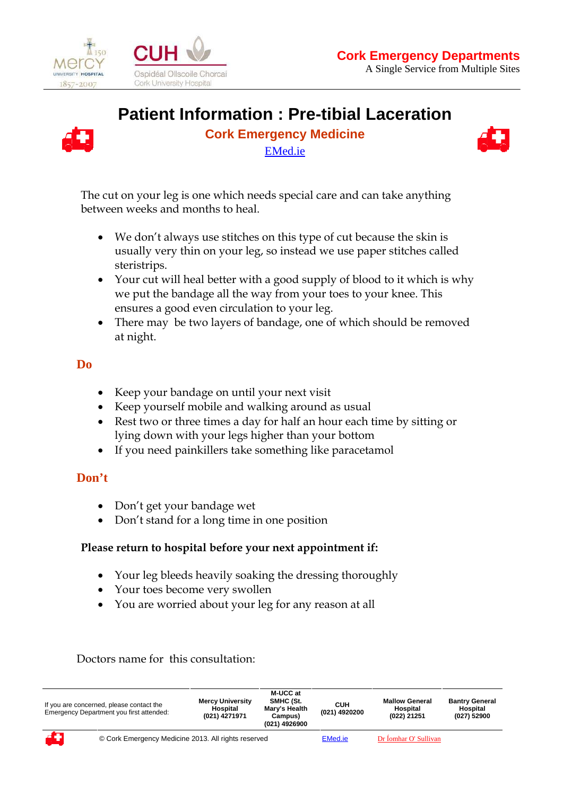

 $\overline{a}$ 



# **Patient Information : Pre-tibial Laceration**



**Cork Emergency Medicine**  EMed.ie



The cut on your leg is one which needs special care and can take anything between weeks and months to heal.

- We don't always use stitches on this type of cut because the skin is usually very thin on your leg, so instead we use paper stitches called steristrips.
- Your cut will heal better with a good supply of blood to it which is why we put the bandage all the way from your toes to your knee. This ensures a good even circulation to your leg.
- There may be two layers of bandage, one of which should be removed at night.

## **Do**

- Keep your bandage on until your next visit
- Keep yourself mobile and walking around as usual
- Rest two or three times a day for half an hour each time by sitting or lying down with your legs higher than your bottom
- If you need painkillers take something like paracetamol

## **Don't**

- Don't get your bandage wet
- Don't stand for a long time in one position

#### **Please return to hospital before your next appointment if:**

- Your leg bleeds heavily soaking the dressing thoroughly
- Your toes become very swollen
- You are worried about your leg for any reason at all

#### Doctors name for this consultation:

| If you are concerned, please contact the<br>Emergency Department you first attended: |                                                     | <b>Mercy University</b><br>Hospital<br>(021) 4271971 | M-UCC at<br>SMHC (St.<br>Mary's Health<br>Campus)<br>(021) 4926900 | CUH<br>(021) 4920200 | <b>Mallow General</b><br>Hospital<br>(022) 21251 | <b>Bantry General</b><br>Hospital<br>(027) 52900 |  |
|--------------------------------------------------------------------------------------|-----------------------------------------------------|------------------------------------------------------|--------------------------------------------------------------------|----------------------|--------------------------------------------------|--------------------------------------------------|--|
| ÆJ                                                                                   | © Cork Emergency Medicine 2013. All rights reserved |                                                      |                                                                    | EMed.ie              | Dr Íomhar O' Sullivan                            |                                                  |  |